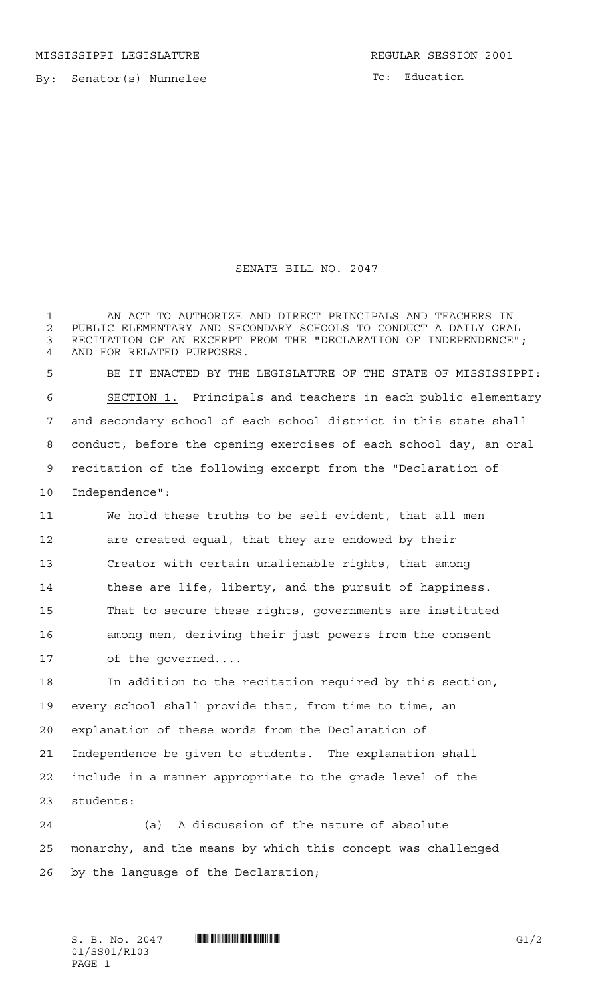By: Senator(s) Nunnelee

To: Education

## SENATE BILL NO. 2047

 AN ACT TO AUTHORIZE AND DIRECT PRINCIPALS AND TEACHERS IN 2 PUBLIC ELEMENTARY AND SECONDARY SCHOOLS TO CONDUCT A DAILY ORAL<br>3 RECITATION OF AN EXCERPT FROM THE "DECLARATION OF INDEPENDENCE" RECITATION OF AN EXCERPT FROM THE "DECLARATION OF INDEPENDENCE"; AND FOR RELATED PURPOSES. BE IT ENACTED BY THE LEGISLATURE OF THE STATE OF MISSISSIPPI: SECTION 1. Principals and teachers in each public elementary and secondary school of each school district in this state shall conduct, before the opening exercises of each school day, an oral recitation of the following excerpt from the "Declaration of Independence": We hold these truths to be self-evident, that all men are created equal, that they are endowed by their Creator with certain unalienable rights, that among these are life, liberty, and the pursuit of happiness. That to secure these rights, governments are instituted among men, deriving their just powers from the consent of the governed.... In addition to the recitation required by this section, every school shall provide that, from time to time, an explanation of these words from the Declaration of Independence be given to students. The explanation shall include in a manner appropriate to the grade level of the students:

 (a) A discussion of the nature of absolute monarchy, and the means by which this concept was challenged by the language of the Declaration;

 $S. B. No. 2047$   $\qquad$   $\qquad$   $\qquad$   $\qquad$   $\qquad$   $\qquad$   $\qquad$   $\qquad$   $\qquad$   $\qquad$   $\qquad$   $\qquad$   $\qquad$   $\qquad$   $\qquad$   $\qquad$   $\qquad$   $\qquad$   $\qquad$   $\qquad$   $\qquad$   $\qquad$   $\qquad$   $\qquad$   $\qquad$   $\qquad$   $\qquad$   $\qquad$   $\qquad$   $\qquad$   $\qquad$   $\qquad$   $\qquad$   $\qquad$   $\q$